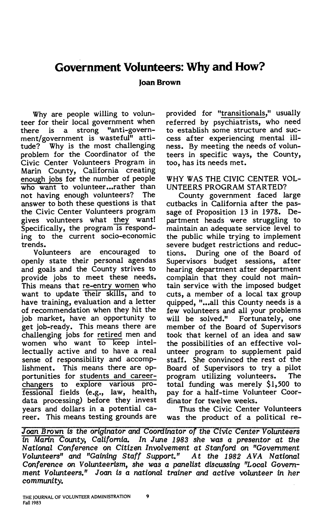# **Government Volunteers: Why and How?**

# **Joan Brown**

Why are people willing to volunteer for their local government when there is a strong "anti-government/government is wasteful" attitude? Why is the most challenging problem for the Coordinator of the Civic Center Volunteers Program in Marin County, California creating enough jobs for the number of people who want to volunteer...rather than not having enough volunteers? The answer to both these questions is that the Civic Center Volunteers program gives volunteers what they want! Specifically, the program is responding to the current socio-economic

trends. are encouraged to openly state their personal agendas and goals and the County strives to provide jobs to meet these needs. This means that re-entry women who want to update their skills, and to have training, evaluation and a letter of recommendation when they hit the job market, have an opportunity to get job-ready. This means there are challenging jobs for retired men and women who want to keep intellectually active and to have a real sense of responsibility and accomplishment. This means there are opportunities for students and careerchangers to explore various professional fields (e.g., law, health, data processing) before they invest years and dollars in a potential career. This means testing grounds are provided for "transitionals," usually referred by psychiatrists, who need to establish some structure and success after experiencing mental illness. By meeting the needs of volunteers in specific ways, the County, too, has its needs met.

WHY WAS THE CIVIC CENTER VOL-UNTEERS PROGRAM STARTED?

County government faced large cutbacks in California after the passage of Proposition 13 in 1978. Department heads were struggling to maintain an adequate service level to the public while trying to implement severe budget restrictions and reductions. During one of the Board of Supervisors budget sessions, after hearing department after department complain that they could not maintain service with the imposed budget cuts, a member of a local tax group quipped, "...all this County needs is a few volunteers and all your problems will be solved." Fortunately, one member of the Board of Supervisors took that kernel of an idea and saw the possibilities of an effective volunteer program to supplement paid staff. She convinced the rest of the Board of Supervisors to try a pilot<br>program utilizing volunteers. The program utilizing volunteers. total funding was merely \$1,500 to pay for a half-time Volunteer Coordinator for twelve weeks.

Thus the Civic Center Volunteers was the product of a political re-

Joan Brown is the originator and Coordinator of the Civic Center Volunteers *in Marin County, California. In June 1983 she was a presentor at the National Conference on Citizen Involvement at Stanford on "Government Volunteers" and "Gaining Staff Support." At the 1982 AVA National Conference on Volunteerism, she was a panelist discussing "Local* Govern*ment Volunteers." Joan is a national trainer and* active *volunteer in her community.*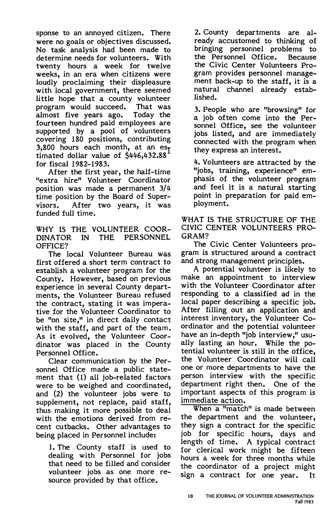sponse to an annoyed citizen. There were no goals or objectives discussed. No task analysis had been made to determine needs for volunteers. With twenty hours a week for twelve weeks, in an era when citizens were loudly proclaiming their displeasure with local government, there seemed little hope that a county volunteer<br>program would succeed. That was program would succeed. That was<br>almost five years ago. Today the almost five years ago. fourteen hundred paid employees are supported by a pool of volunteers covering 180 positions, contributing 3,800 hours each month, at an est timated dollar value of \$446,432.88 for fiscal 1982-1983.

After the first year, the half-time "extra hire" Volunteer Coordinator position was made a permanent 3/4 time position by the Board of Supervisors. After two years, it was funded full time.

WHY IS THE VOLUNTEER COOR-DINATOR IN THE PERSONNEL OFFICE?

The local Volunteer Bureau was first offered a short term contract to establish a volunteer program for the County. However, based on previous experience in several County departments, the Volunteer Bureau refused the contract, stating it was imperative for the Volunteer Coordinator to be "on site," in direct daily contact with the staff, and part of the team. As it evolved, the Volunteer Coordinator was placed in the County Personnel Office.

Clear communication by the Personnel Office made a public statement that (1) all job-related factors were to be weighed and coordinated, and (2) the volunteer jobs were to supplement, not replace, paid staff, thus making it more possible to deal with the emotions derived from recent cutbacks. Other advantages to being placed in Personnel include:

1. The County staff is used to dealing with Personnel for jobs that need to be filled and consider volunteer jobs as one more resource provided by that office.

2. County departments are already accustomed to thinking of bringing personnel problems to the Personnel Office. Because the Civic Center Volunteers Program provides personnel management back-up to the staff, it is a natural channel already established.

3. People who are "browsing" for a job of ten come into the Personnel Office, see the volunteer jobs listed, and are immediately connected with the program when they express an interest.

4. Volunteers are attracted by the "jobs, training, experience" emphasis of the volunteer program and feel it is a natural starting point in preparation for paid employment.

WHAT IS THE STRUCTURE OF THE CIVIC CENTER VOLUNTEERS PRO-GRAM?

The Civic Center Volunteers program is structured around a contract and strong management principles.

A potential volunteer is likely to make an appointment to interview with the Volunteer Coordinator after responding to a classified ad in the local paper describing a specific job. After filling out an application and interest inventory, the Volunteer Coordinator and the potential volunteer have an in-depth "job interview," usually lasting an hour. While the potential volunteer is still in the office, the Volunteer Coordinator will call one or more departments to have the person interview with the specific department right then. One of the important aspects of this program is immediate action.

When a "match" is made between the department and the volunteer, they sign a contract for the specific job for specific hours, days and<br>length of time. A typical contract A typical contract for clerical work might be fifteen hours a week for three months while the coordinator of a project might sign a contract for one year. It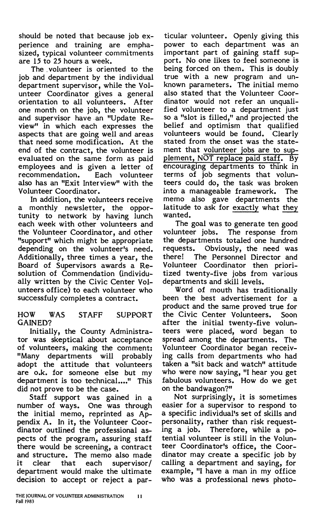should be noted that because job experience and training are emphasized, typical volunteer commitments are 15 to *25* hours a week.

The . volunteer is oriented to the job and department by the individual department supervisor, while the Volunteer Coordinator gives a general orientation to all volunteers. After one month on the job, the volunteer and supervisor have an "Update Review" in which each expresses the aspects that are going well and areas that need some modification. At the end of the contract, the volunteer is evaluated on the same form as paid employees and is given a letter of Each volunteer also has an "Exit Interview" with the Volunteer Coordinator.

In addition, the volunteers receive a monthly newsletter, the opportunity to network by having lunch each week with other volunteers and the Volunteer Coordinator, and other "support" which might be appropriate depending on the volunteer's need. Additionally, three times a year, the Board of Supervisors awards a Resolution of Commendation (individually written by the Civic Center Volunteers office) to each volunteer who successfuly completes a contract.

#### HOW WAS STAFF SUPPORT GAINED?

Initially, the County Administrator was skeptical about acceptance of volunteers, making the comment: "Many departments will probably adopt the attitude that volunteers are o.k. for someone else but my department is too technical...." This did not prove to be the case.

Staff support was gained in a number of ways. One was through the initial memo, reprinted as Appendix A. In it, the Volunteer Coordinator outlined the professional aspects of the program, assuring staff there would be screening, a contract and structure. The memo also made it clear that each supervisor/ department would make the ultimate decision to accept or reject a par-

ticular volunteer. Openly giving this power to each department was an important part of gaining staff support. No one likes to feel someone is being forced on them. This is doubly true with a new program and unknown parameters. The initial memo also stated that the Volunteer Coordinator would not refer an unqualified volunteer to a department just so a "slot is filled," and projected the belief and optimism that qualified volunteers would be found. Clearly stated from the onset was the statement that volunteer jobs are to supplement, NOT replace paid staff. By encouraging departments to think in terms of job segments that volunteers could do, the task was broken into a manageable framework. The memo also gave departments the latitude to ask for exactly what they wanted.

The goal was to generate ten good volunteer jobs. The response from the departments totaled one hundred<br>requests. Obviously, the need was Obviously, the need was there! The Personnel Director and Volunteer Coordinator then prioritized twenty-five jobs from various departments and skill levels.

Word of mouth has traditionally been the best advertisement for a product and the same proved true for the Civic Center Volunteers. Soon after the initial twenty-five volunteers were placed, word began to spread among the departments. The Volunteer Coordinator began receiving calls from departments who had taken a "sit back and watch" attitude who were now saying, "I hear you get fabulous volunteers. How do we get on the bandwagon?"

Not surprisingly, it is sometimes easier for a supervisor to respond to a specific individual's set of skills and personality, rather than risk requesting a job. Therefore, while a potential volunteer is still in the Volunteer Coordinator's office, the Coordinator may create a specific job by calling a department and saying, for example, "I have a man in my office who was a professional news photo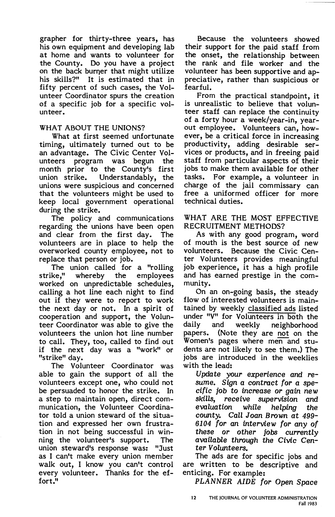grapher for thirty-three years, has his own equipment and developing lab at home and wants to volunteer for the County. Do you have a project on the back burner that might utilize his skills?" It is estimated that in fifty percent of such cases, the Volunteer Coordinator spurs the creation of a specific job for a specific volunteer.

# **WHAT** ABOUT THE **UNIONS?**

What at first seemed unfortunate timing, ultimately turned out to be an advantage. The Civic Center Volunteers program was begun the month prior to the County's first<br>union strike. Understandably, the Understandably, the unions were suspicious and concerned that the volunteers might be used to keep local government operational during the strike.

The policy and communications regarding the unions have been open and clear from the first day. The volunteers are in place to help the overworked county employee, not to replace that person or job.

The union called for a "rolling<br>strike," whereby the employees whereby the employees worked on unpredictable schedules, calling a hot line each night to find out if they were to report to work the next day or not. In a spirit of cooperation and support, the Volunteer Coordinator was able to give the volunteers the union hot line number to call. They, too, called to find out if the next day was a "work" or "strike" day.

The Volunteer Coordinator was able to gain the support of all the volunteers except one, who could not be persuaded to honor the strike. In a step to maintain open, direct communication, the Volunteer Coordinator told a union steward of the situation and expressed her own frustration in not being successful in winning the volunteer's support. The union steward's response was: "Just as I can't make every union member walk out, I know you can't control every volunteer. Thanks for the effort."

Because the volunteers showed their support for the paid staff from the onset, the relationship between the rank and file worker and the volunteer has been supportive and appreciative, rather than suspicious or fearful.

From the practical standpoint, it is unrealistic to believe that volunteer staff can replace the continuity of a forty hour a week/year-in, yearout employee. Volunteers can, however, be a critical force in increasing productivity, adding desirable ser**vices** or products, and in freeing paid staff from particular aspects of their jobs to make them available for other tasks. For example, a volunteer in charge of the jail commissary can free a uniformed officer for more technical duties.

#### WHAT ARE THE MOST EFFECTIVE RECRUITMENT METHODS?

As with any good program, word of mouth is the best source of new volunteers. Because the Civic Center Volunteers provides meaningful job experience, it has a high profile and has earned prestige in the community.

On an on-going basis, the steady flow of interested volunteers is maintained by weekly classified ads listed under "V" for Volunteers in both the<br>daily and weekly neighborhood and weekly neighborhood papers. (Note they are not on the Women's pages where men and students are not likely to see them.) The jobs are introduced in the weeklies with the lead:

Update your experience and resume. Sign a contract for a specific job to increase or gain new skills, receive supervision and evaluation while helping the county. Call Joan Brown at 499-6104 for an interview for any of these or other jobs currently available through the Civic Center Volunteers.

The ads are for specific jobs and are written to be descriptive and enticing. For example:

PLANNER AIDE for Open Space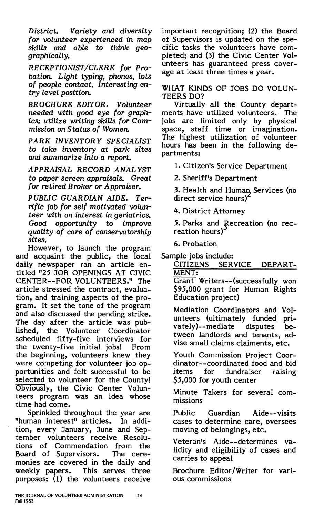*District. Variety and diversity for* volunteer *experienced in* map *skills* and able to *think geographically.* 

**RECEPTIONIST/CLERK for Pro***bation. Light typing, phones, lots of* people *contact. Interesting entry level position.* 

**BROCHURE EDITOR. Volunteer**  *needed with good eye for graphics; utilize writing skills for* Com*mission on Status of Women.* 

**PARK INVENTORY SPECIALIST**  to *take* inventory *at park sites*  and *summarize* into a *report.* 

**APPRAISAL RECORD ANALYST**  to *paper* screen *appraisals. Great for retired Broker or Appraiser.* 

**PUBLIC GUARDIAN AIDE. Ter***rific* job *for self motivated* volun*teer with* an *interest in geriatrics.*  Good *opportunity* to *improve quality of care of conservatorship sites.* 

However, to launch the program and acquaint the public, the local daily newspaper ran an article entitled "25 JOB OPENINGS AT CIVIC CENTER--FOR VOLUNTEERS." The article stressed the contract, evaluation, and training aspects of the program. It set the tone of the program and also discussed the pending strike. The day after the article was published, the Volunteer Coordinator scheduled fifty-five interviews for the twenty-five initial jobs! From the beginning, volunteers knew they were competing for volunteer job opportunities and felt successful to be selected to volunteer for the County! Obviously, the Civic Center Volunteers program was an idea whose time had come.

Sprinkled throughout the year are "human interest" articles. In addition, every January, June and September volunteers receive Resolutions of Commendation from the<br>Board of Supervisors. The cere-Board of Supervisors. monies are covered in the daily and weekly papers. This serves three purposes: (1) the volunteers receive important recognition; (2) the Board of Supervisors is updated on the specific tasks the volunteers have completed; and (3) the Civic Center Volunteers has guaranteed press coverage at least three times a year.

WHAT KINDS OF JOBS DO VOLUN-TEERS DO?

Virtually all the County departments have utilized volunteers. The jobs are limited only by physical space, staff time or imagination. The highest utilization of volunteer hours has been in the following departments:

1. Citizen's Service Department

2. Sheriff's Department

3. Health and Human Services (no direct service hours)<sup>2</sup>

4. District Attorney

5. Parks and Recreation (no recreation hours)

6. Probation

Sample jobs include:

CITIZENS SERVICE DEPART-MENT:

Grant Writers--(successfully won *\$95,000* grant for Human Rights Education project)

Mediation Coordinators and Volunteers (ultimately funded privately)--mediate disputes between landlords and tenants, advise small claims claiments, etc.

Youth Commission Project Coordinator--coordinated food and bid<br>items for fundraiser raising fundraiser raising *\$5,000* for youth center

Minute Takers for several commissions

Public Guardian Aide--visits cases to determine care, oversees moving of belongings, etc.

Veteran's Aide--determines validity and eligibility of cases and carries to appeal

Brochure Editor/Writer for various com missions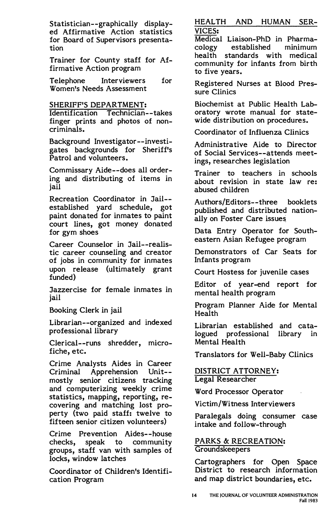Statistician- -graphically displayed Affirmative Action statistics for Board of Supervisors presentation

Trainer for County staff for Affirmative Action program

Telephone Interviewers for Women's Needs Assessment

SHERIFF'S DEPARTMENT:

Identification Technician- -takes finger prints and photos of noncriminals.

Background Investigator--investigates backgrounds for Sheriff's Patrol and volunteers.

Commissary Aide--does all ordering and distributing of items in jail

Recreation Coordinator in Jail- established yard schedule, got paint donated for inmates to paint court lines, got money donated for gym shoes

Career Counselor in Jail--realistic career counseling and creator of jobs in community for inmates upon release (ultimately grant funded)

Jazzercise for female inmates in jail

Booking Clerk in jail

Librarian--organized and indexed professional library

Clerical--runs shredder, microfiche, etc.

Crime Analysts Aides in Career Criminal Apprehension Unit- mostly senior citizens tracking and computerizing weekly crime statistics, mapping, reporting, recovering and matching lost property (two paid staff: twelve to fifteen senior citizen volunteers)

Crime Prevention Aides--house checks, speak to community groups, staff van with samples of locks, window latches

Coordinator of Children's Identification Program

HEALTH AND HUMAN SER-VICES:

Medical Liaison-PhD in Pharmacology established minimum health standards with medical community for infants from birth to five years.

Registered Nurses at Blood Pressure Clinics

Biochemist at Public Health Laboratory wrote manual for statewide distribution on procedures.

Coordinator of Influenza Clinics

Administrative Aide to Director of Social Services--attends meetings, researches legislation

Trainer to teachers in schools about revision in state law re: abused children

Authors/Editors--three booklets published and distributed nationally on Foster Care issues

Data Entry Operator for Southeastern Asian Refugee program

Demonstrators of Car Seats for Inf ants program

Court Hostess for juvenile cases

Editor of year-end report for mental health program

Program Planner Aide for Mental Health

Librarian established and catalogued professional library in Mental Health

Translators for Well-Baby Clinics

DISTRICT ATTORNEY: Legal Researcher

Word Processor Operator

Victim/Witness Interviewers

Paralegals doing consumer case intake and follow-through

PARKS & RECREATION: Groundskeepers

Cartographers for Open Space District to research information and map district boundaries, etc.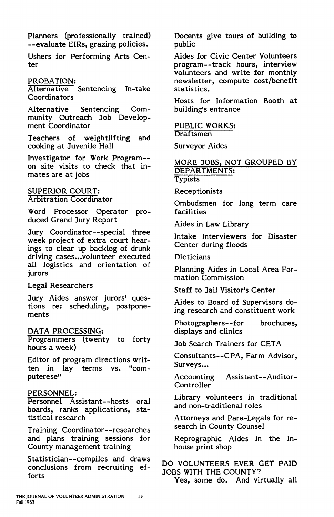Planners (professionally trained) --evaluate EIRs, grazing policies.

Ushers for Performing Arts Center

# PROBATION:

Alternative Sentencing In-take Coordinators

Alternative Sentencing Community Outreach Job Development Coordinator

Teachers of weightlifting and cooking at Juvenile Hall

Investigator for Work Program- on site visits to check that inmates are at jobs

#### SUPERIOR COURT: Arbitration Coordinator

Word Processor Operator produced Grand Jury Report

Jury Coordinator--special three week project of extra court hearings to clear up backlog of drunk driving cases...volunteer executed all logistics and orientation of jurors

Legal Researchers

Jury Aides answer jurors' questions re: scheduling, postponements

# DATA PROCESSING:

Programmers (twenty to forty hours a week)

Editor of program directions written in lay terms vs. "computerese"

# PERSONNEL:

Personnel Assistant--hosts oral boards, ranks applications, statistical research

Training Coordinator--researches and plans training sessions for County management training

Statistician--compiles and draws conclusions from recruiting efforts

Docents give tours of building to public

Aides for Civic Center Volunteers program--track hours, interview volunteers and write for monthly newsletter, compute cost/benefit statistics.

Hosts for Information Booth at building's entrance

PUBLIC **WORKS:**  Draftsmen

Surveyor Aides

#### MORE JOBS, NOT GROUPED BY DEPARTMENTS: **Typists**

Receptionists

Ombudsmen for long term care facilities

Aides in Law Library

Intake Interviewers for Disaster Center during floods

Dieticians

Planning Aides in Local Area Formation Commission

Staff to Jail Visitor's Center

Aides to Board of Supervisors doing research and constituent work

Photographers--for brochures, displays and clinics

Job Search Trainers for CET A

Consultants--CPA, Farm Advisor, Surveys...

Accounting Assistant--Auditor-Controller

Library volunteers in traditional and non-traditional roles

Attorneys and Para-Legals for research in County Counsel

Reprographic Aides in the inhouse print shop

DO VOLUNTEERS EVER GET PAID JOBS WITH THE COUNTY?

Yes, some do. And virtually all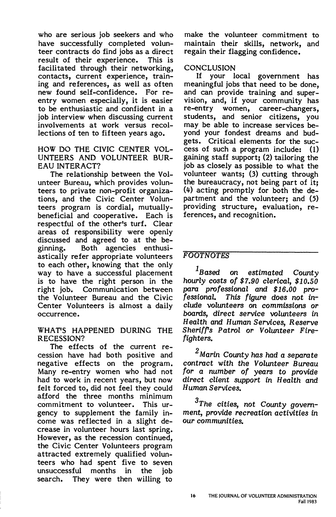who are serious job seekers and who have successfully completed volunteer contracts do find jobs as a direct<br>result of their experience. This is result of their experience. facilitated through their networking, contacts, current experience, training and references, as well as often new found self-confidence. For reentry women especially, it is easier to be enthusiastic and confident in a job interview when discussing current involvements at work versus recollections of ten to fifteen years ago.

HOW DO THE CIVIC CENTER VOL-UNTEERS AND VOLUNTEER BUR-EAU INTERACT?

The relationship between the Volunteer Bureau, which provides volunteers to private non-profit organizations, and the Civic Center Volunteers program is cordial, mutuallybeneficial and cooperative. Each is respectful of the other's turf. Clear areas of responsibility were openly discussed and agreed to at the beginning. Both agencies enthusiastically refer appropriate volunteers to each other, knowing that the only way to have a successful placement is to have the right person in the right job. Communication between the Volunteer Bureau and the Civic Center Volunteers is almost a daily occurrence.

#### WHAT'S HAPPENED DURING THE RECESSION?

The effects of the current recession have had both positive and negative effects on the program. Many re-entry women who had not had to work in recent years, but now felt forced to, did not feel they could afford the three months minimum commitment to volunteer. This urgency to supplement the family income was reflected in a slight decrease in volunteer hours last spring. However, as the recession continued, the Civic Center Volunteers program attracted extremely qualified volunteers who had spent five to seven unsuccessful months in the job search. They were then willing to make the volunteer commitment to maintain their skills, network, and regain their flagging confidence.

# **CONCLUSION**

If your local government has meaningful jobs that need to be done, and can provide training and supervision, and, if your community has re-entry women, career-changers, students, and senior citizens, you may be able to increase services beyond your fondest dreams and budgets. Critical elements for the success of such a program include: (1) gaining staff support; (2) tailoring the job as closely as possible to what the volunteer wants; (3) cutting through the bureaucracy, not being part of it; (4) acting promptly for both the department and the volunteer; and (5) providing structure, evaluation, references, and recognition.

# FOOTNOTES

 $1_{\rm Based}$  on estimated County hourly costs of *\$7.90* clerical, *\$10.50*  para professional and *\$16.00* pro-This figure does not include volunteers on commissions or boards, direct service volunteers in Health and Human Services, Reserve Sheriffs Patrol or Volunteer Firefighters.

 $^2$ Marin County has had a separate contract with the Volunteer Bureau for a number of years to provide direct client support in Health and Human Services.

3The cities, not County government, provide recreation activities in our communities.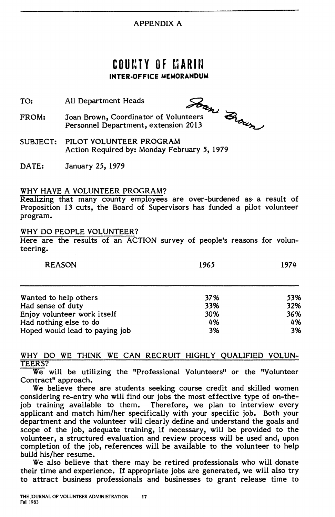# APPENDIX A

# **C O U r: T Y O f r.1 A R I U INTER-OFFICE MEMORANDUM**

- TO:  $\frac{1}{2}$ <br>All Department Heads  $\frac{1}{2}$
- FROM: Joan Brown, Coordinator of Volunteers<br>Personnel Department, extension 2013 Joan Brown, Coordinator of Volunteers<br>Personnel Department, extension 2013
- SUBJECT: PILOT VOLUNTEER PROGRAM Action Required by: Monday February *5,* 1979
- DATE: January 25, 1979

# WHY HAVE A VOLUNTEER PROGRAM?

Realizing that many county employees are over-burdened as· a result of Proposition 13 cuts, the Board of Supervisors has funded a pilot volunteer program.

#### WHY DO PEOPLE VOLUNTEER?

Here are the results of an ACTION survey of people's reasons for volunteering.

| <b>REASON</b>                  | 1965 | 1974 |
|--------------------------------|------|------|
| Wanted to help others          | 37%  | 53%  |
| Had sense of duty              | 33%  | 32%  |
| Enjoy volunteer work itself    | 30%  | 36%  |
| Had nothing else to do         | 4%   | 4%   |
| Hoped would lead to paying job | 3%   | 3%   |

#### WHY DO WE THINK WE CAN RECRUIT HIGHLY QUALIFIED VOLUN-TEERS?

We will be utilizing the "Professional Volunteers" or the "Volunteer Contract" approach.

We believe there are students seeking course credit and skilled women considering re-entry who will find our jobs the most effective type of on-thejob training available to them. Therefore, we plan to interview every applicant and match him/her specifically with your specific job. Both your department and the volunteer will clearly define and understand the goals and scope of the job, adequate training, if necessary, will be provided to the volunteer, a structured evaluation and review process will be used and, upon completion of the job, references will be available to the volunteer to help build his/her resume.

We also believe that there may be retired professionals who will donate their time and experience. If appropriate jobs are generated, we will also try to attract business professionals and businesses to grant release time to